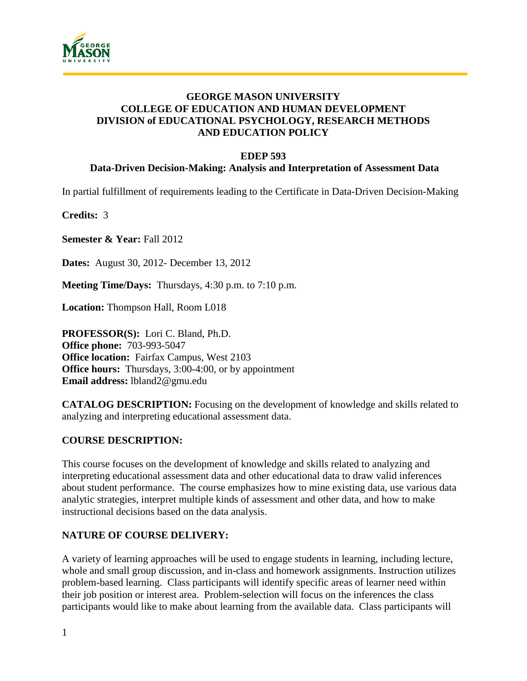

### **GEORGE MASON UNIVERSITY COLLEGE OF EDUCATION AND HUMAN DEVELOPMENT DIVISION of EDUCATIONAL PSYCHOLOGY, RESEARCH METHODS AND EDUCATION POLICY**

#### **EDEP 593**

#### **Data-Driven Decision-Making: Analysis and Interpretation of Assessment Data**

In partial fulfillment of requirements leading to the Certificate in Data-Driven Decision-Making

**Credits:** 3

**Semester & Year:** Fall 2012

**Dates:** August 30, 2012- December 13, 2012

**Meeting Time/Days:** Thursdays, 4:30 p.m. to 7:10 p.m.

**Location:** Thompson Hall, Room L018

**PROFESSOR(S):** Lori C. Bland, Ph.D. **Office phone:** 703-993-5047 **Office location:** Fairfax Campus, West 2103 **Office hours:** Thursdays, 3:00-4:00, or by appointment **Email address:** lbland2@gmu.edu

**CATALOG DESCRIPTION:** Focusing on the development of knowledge and skills related to analyzing and interpreting educational assessment data.

#### **COURSE DESCRIPTION:**

This course focuses on the development of knowledge and skills related to analyzing and interpreting educational assessment data and other educational data to draw valid inferences about student performance. The course emphasizes how to mine existing data, use various data analytic strategies, interpret multiple kinds of assessment and other data, and how to make instructional decisions based on the data analysis.

#### **NATURE OF COURSE DELIVERY:**

A variety of learning approaches will be used to engage students in learning, including lecture, whole and small group discussion, and in-class and homework assignments. Instruction utilizes problem-based learning. Class participants will identify specific areas of learner need within their job position or interest area. Problem-selection will focus on the inferences the class participants would like to make about learning from the available data. Class participants will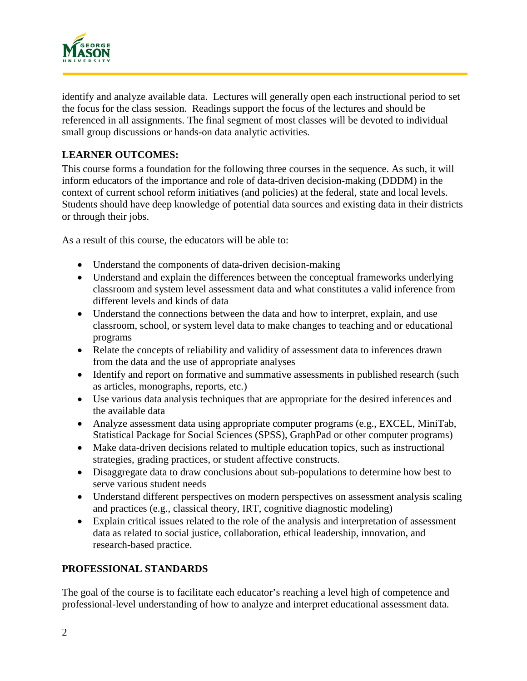

identify and analyze available data. Lectures will generally open each instructional period to set the focus for the class session. Readings support the focus of the lectures and should be referenced in all assignments. The final segment of most classes will be devoted to individual small group discussions or hands-on data analytic activities.

### **LEARNER OUTCOMES:**

This course forms a foundation for the following three courses in the sequence. As such, it will inform educators of the importance and role of data-driven decision-making (DDDM) in the context of current school reform initiatives (and policies) at the federal, state and local levels. Students should have deep knowledge of potential data sources and existing data in their districts or through their jobs.

As a result of this course, the educators will be able to:

- Understand the components of data-driven decision-making
- Understand and explain the differences between the conceptual frameworks underlying classroom and system level assessment data and what constitutes a valid inference from different levels and kinds of data
- Understand the connections between the data and how to interpret, explain, and use classroom, school, or system level data to make changes to teaching and or educational programs
- Relate the concepts of reliability and validity of assessment data to inferences drawn from the data and the use of appropriate analyses
- Identify and report on formative and summative assessments in published research (such as articles, monographs, reports, etc.)
- Use various data analysis techniques that are appropriate for the desired inferences and the available data
- Analyze assessment data using appropriate computer programs (e.g., EXCEL, MiniTab, Statistical Package for Social Sciences (SPSS), GraphPad or other computer programs)
- Make data-driven decisions related to multiple education topics, such as instructional strategies, grading practices, or student affective constructs.
- Disaggregate data to draw conclusions about sub-populations to determine how best to serve various student needs
- Understand different perspectives on modern perspectives on assessment analysis scaling and practices (e.g., classical theory, IRT, cognitive diagnostic modeling)
- Explain critical issues related to the role of the analysis and interpretation of assessment data as related to social justice, collaboration, ethical leadership, innovation, and research-based practice.

## **PROFESSIONAL STANDARDS**

The goal of the course is to facilitate each educator's reaching a level high of competence and professional-level understanding of how to analyze and interpret educational assessment data.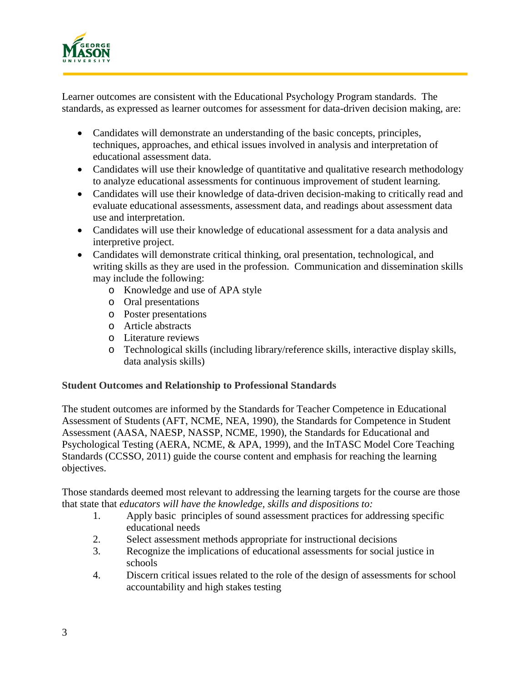

Learner outcomes are consistent with the Educational Psychology Program standards. The standards, as expressed as learner outcomes for assessment for data-driven decision making, are:

- Candidates will demonstrate an understanding of the basic concepts, principles, techniques, approaches, and ethical issues involved in analysis and interpretation of educational assessment data.
- Candidates will use their knowledge of quantitative and qualitative research methodology to analyze educational assessments for continuous improvement of student learning.
- Candidates will use their knowledge of data-driven decision-making to critically read and evaluate educational assessments, assessment data, and readings about assessment data use and interpretation.
- Candidates will use their knowledge of educational assessment for a data analysis and interpretive project.
- Candidates will demonstrate critical thinking, oral presentation, technological, and writing skills as they are used in the profession. Communication and dissemination skills may include the following:
	- o Knowledge and use of APA style
	- o Oral presentations
	- o Poster presentations
	- o Article abstracts
	- o Literature reviews
	- o Technological skills (including library/reference skills, interactive display skills, data analysis skills)

#### **Student Outcomes and Relationship to Professional Standards**

The student outcomes are informed by the Standards for Teacher Competence in Educational Assessment of Students (AFT, NCME, NEA, 1990), the Standards for Competence in Student Assessment (AASA, NAESP, NASSP, NCME, 1990), the Standards for Educational and Psychological Testing (AERA, NCME, & APA, 1999), and the InTASC Model Core Teaching Standards (CCSSO, 2011) guide the course content and emphasis for reaching the learning objectives.

Those standards deemed most relevant to addressing the learning targets for the course are those that state that *educators will have the knowledge, skills and dispositions to:*

- 1. Apply basic principles of sound assessment practices for addressing specific educational needs
- 2. Select assessment methods appropriate for instructional decisions
- 3. Recognize the implications of educational assessments for social justice in schools
- 4. Discern critical issues related to the role of the design of assessments for school accountability and high stakes testing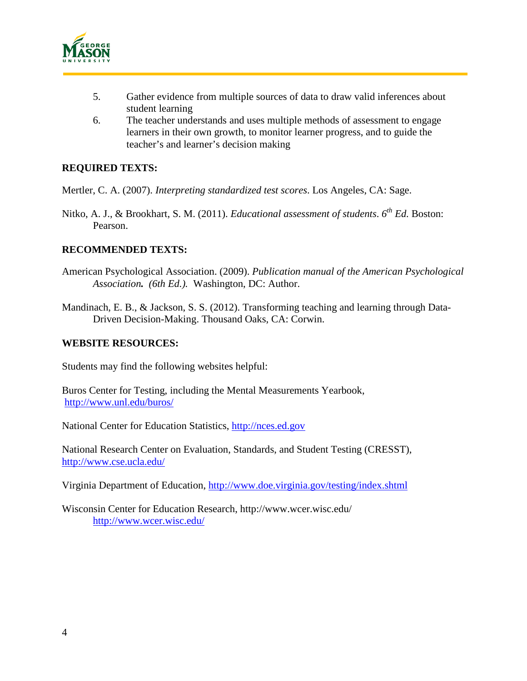

- 5. Gather evidence from multiple sources of data to draw valid inferences about student learning
- 6. The teacher understands and uses multiple methods of assessment to engage learners in their own growth, to monitor learner progress, and to guide the teacher's and learner's decision making

#### **REQUIRED TEXTS:**

Mertler, C. A. (2007). *Interpreting standardized test scores*. Los Angeles, CA: Sage.

Nitko, A. J., & Brookhart, S. M. (2011). *Educational assessment of students*. *6th Ed.* Boston: Pearson.

#### **RECOMMENDED TEXTS:**

- American Psychological Association. (2009). *Publication manual of the American Psychological Association. (6th Ed.).* Washington, DC: Author.
- Mandinach, E. B., & Jackson, S. S. (2012). Transforming teaching and learning through Data-Driven Decision-Making. Thousand Oaks, CA: Corwin.

#### **WEBSITE RESOURCES:**

Students may find the following websites helpful:

Buros Center for Testing, including the Mental Measurements Yearbook, <http://www.unl.edu/buros/>

National Center for Education Statistics, [http://nces.ed.gov](http://nces.ed.gov/)

National Research Center on Evaluation, Standards, and Student Testing (CRESST), <http://www.cse.ucla.edu/>

Virginia Department of Education,<http://www.doe.virginia.gov/testing/index.shtml>

Wisconsin Center for Education Research, http://www.wcer.wisc.edu/ <http://www.wcer.wisc.edu/>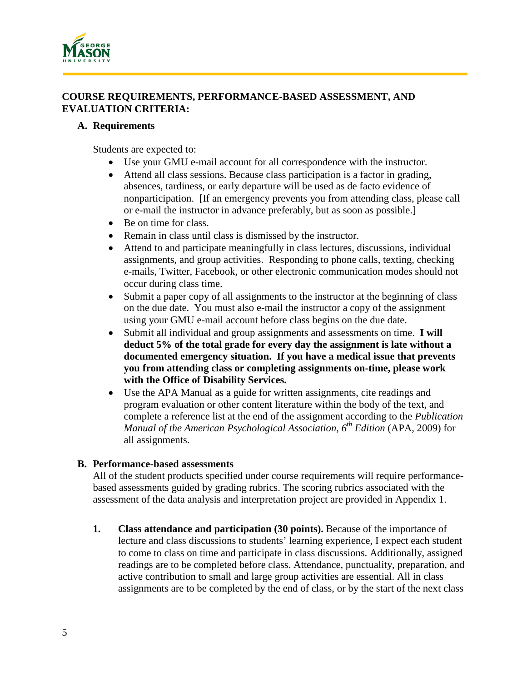

#### **COURSE REQUIREMENTS, PERFORMANCE-BASED ASSESSMENT, AND EVALUATION CRITERIA:**

#### **A. Requirements**

Students are expected to:

- Use your GMU e-mail account for all correspondence with the instructor.
- Attend all class sessions. Because class participation is a factor in grading, absences, tardiness, or early departure will be used as de facto evidence of nonparticipation. [If an emergency prevents you from attending class, please call or e-mail the instructor in advance preferably, but as soon as possible.]
- Be on time for class.
- Remain in class until class is dismissed by the instructor.
- Attend to and participate meaningfully in class lectures, discussions, individual assignments, and group activities. Responding to phone calls, texting, checking e-mails, Twitter, Facebook, or other electronic communication modes should not occur during class time.
- Submit a paper copy of all assignments to the instructor at the beginning of class on the due date. You must also e-mail the instructor a copy of the assignment using your GMU e-mail account before class begins on the due date.
- Submit all individual and group assignments and assessments on time. **I will deduct 5% of the total grade for every day the assignment is late without a documented emergency situation. If you have a medical issue that prevents you from attending class or completing assignments on-time, please work with the Office of Disability Services.**
- Use the APA Manual as a guide for written assignments, cite readings and program evaluation or other content literature within the body of the text, and complete a reference list at the end of the assignment according to the *Publication Manual of the American Psychological Association, 6th Edition* (APA, 2009) for all assignments.

#### **B. Performance-based assessments**

All of the student products specified under course requirements will require performancebased assessments guided by grading rubrics. The scoring rubrics associated with the assessment of the data analysis and interpretation project are provided in Appendix 1.

**1. Class attendance and participation (30 points).** Because of the importance of lecture and class discussions to students' learning experience, I expect each student to come to class on time and participate in class discussions. Additionally, assigned readings are to be completed before class. Attendance, punctuality, preparation, and active contribution to small and large group activities are essential. All in class assignments are to be completed by the end of class, or by the start of the next class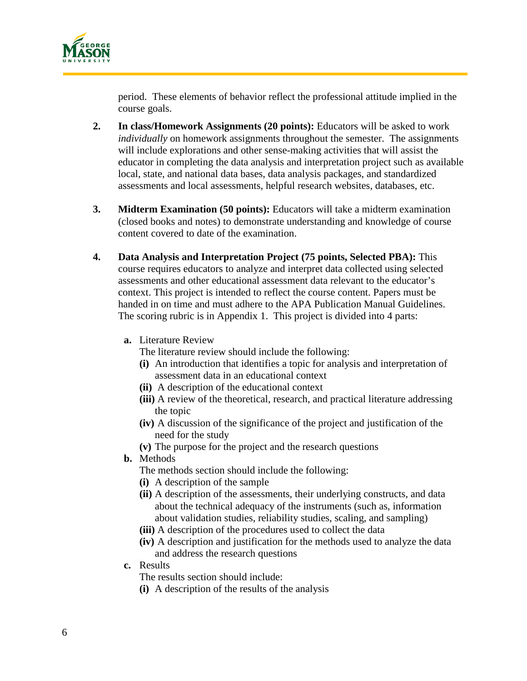

period. These elements of behavior reflect the professional attitude implied in the course goals.

- **2. In class/Homework Assignments (20 points):** Educators will be asked to work *individually* on homework assignments throughout the semester. The assignments will include explorations and other sense-making activities that will assist the educator in completing the data analysis and interpretation project such as available local, state, and national data bases, data analysis packages, and standardized assessments and local assessments, helpful research websites, databases, etc.
- **3. Midterm Examination (50 points):** Educators will take a midterm examination (closed books and notes) to demonstrate understanding and knowledge of course content covered to date of the examination.
- **4. Data Analysis and Interpretation Project (75 points, Selected PBA):** This course requires educators to analyze and interpret data collected using selected assessments and other educational assessment data relevant to the educator's context. This project is intended to reflect the course content. Papers must be handed in on time and must adhere to the APA Publication Manual Guidelines. The scoring rubric is in Appendix 1. This project is divided into 4 parts:
	- **a.** Literature Review
		- The literature review should include the following:
		- **(i)** An introduction that identifies a topic for analysis and interpretation of assessment data in an educational context
		- **(ii)** A description of the educational context
		- **(iii)** A review of the theoretical, research, and practical literature addressing the topic
		- **(iv)** A discussion of the significance of the project and justification of the need for the study
		- **(v)** The purpose for the project and the research questions
	- **b.** Methods

The methods section should include the following:

- **(i)** A description of the sample
- **(ii)** A description of the assessments, their underlying constructs, and data about the technical adequacy of the instruments (such as, information about validation studies, reliability studies, scaling, and sampling)
- **(iii)** A description of the procedures used to collect the data
- **(iv)** A description and justification for the methods used to analyze the data and address the research questions
- **c.** Results

The results section should include:

**(i)** A description of the results of the analysis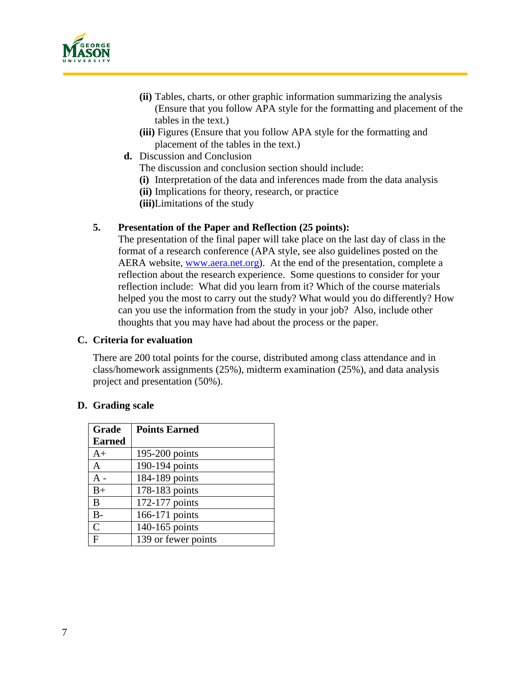

- **(ii)** Tables, charts, or other graphic information summarizing the analysis (Ensure that you follow APA style for the formatting and placement of the tables in the text.)
- **(iii)** Figures (Ensure that you follow APA style for the formatting and placement of the tables in the text.)
- **d.** Discussion and Conclusion

The discussion and conclusion section should include:

- **(i)** Interpretation of the data and inferences made from the data analysis
- **(ii)** Implications for theory, research, or practice
- **(iii)**Limitations of the study

#### **5. Presentation of the Paper and Reflection (25 points):**

The presentation of the final paper will take place on the last day of class in the format of a research conference (APA style, see also guidelines posted on the AERA website, [www.aera.net.org\)](http://www.aera.net.org/). At the end of the presentation, complete a reflection about the research experience. Some questions to consider for your reflection include: What did you learn from it? Which of the course materials helped you the most to carry out the study? What would you do differently? How can you use the information from the study in your job? Also, include other thoughts that you may have had about the process or the paper.

#### **C. Criteria for evaluation**

There are 200 total points for the course, distributed among class attendance and in class/homework assignments (25%), midterm examination (25%), and data analysis project and presentation (50%).

#### **D. Grading scale**

| Grade          | <b>Points Earned</b> |
|----------------|----------------------|
| <b>Earned</b>  |                      |
| $A+$           | 195-200 points       |
| A              | 190-194 points       |
| A -            | 184-189 points       |
| $B+$           | 178-183 points       |
| B              | 172-177 points       |
| $B -$          | 166-171 points       |
| $\overline{C}$ | 140-165 points       |
| F              | 139 or fewer points  |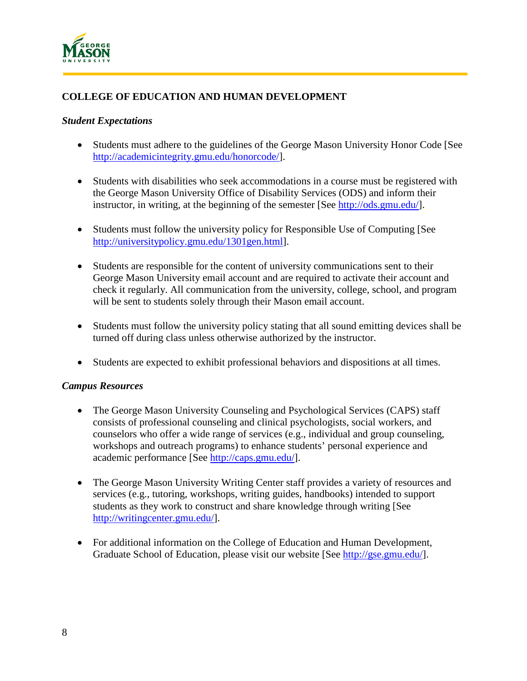

## **COLLEGE OF EDUCATION AND HUMAN DEVELOPMENT**

#### *Student Expectations*

- Students must adhere to the guidelines of the George Mason University Honor Code [See] [http://academicintegrity.gmu.edu/honorcode/\]](http://academicintegrity.gmu.edu/honorcode/).
- Students with disabilities who seek accommodations in a course must be registered with the George Mason University Office of Disability Services (ODS) and inform their instructor, in writing, at the beginning of the semester [See [http://ods.gmu.edu/\]](http://ods.gmu.edu/).
- Students must follow the university policy for Responsible Use of Computing [See [http://universitypolicy.gmu.edu/1301gen.html\]](http://universitypolicy.gmu.edu/1301gen.html).
- Students are responsible for the content of university communications sent to their George Mason University email account and are required to activate their account and check it regularly. All communication from the university, college, school, and program will be sent to students solely through their Mason email account.
- Students must follow the university policy stating that all sound emitting devices shall be turned off during class unless otherwise authorized by the instructor.
- Students are expected to exhibit professional behaviors and dispositions at all times.

#### *Campus Resources*

- The George Mason University Counseling and Psychological Services (CAPS) staff consists of professional counseling and clinical psychologists, social workers, and counselors who offer a wide range of services (e.g., individual and group counseling, workshops and outreach programs) to enhance students' personal experience and academic performance [See [http://caps.gmu.edu/\]](http://caps.gmu.edu/).
- The George Mason University Writing Center staff provides a variety of resources and services (e.g., tutoring, workshops, writing guides, handbooks) intended to support students as they work to construct and share knowledge through writing [See [http://writingcenter.gmu.edu/\]](http://writingcenter.gmu.edu/).
- For additional information on the College of Education and Human Development, Graduate School of Education, please visit our website [See [http://gse.gmu.edu/\]](http://gse.gmu.edu/).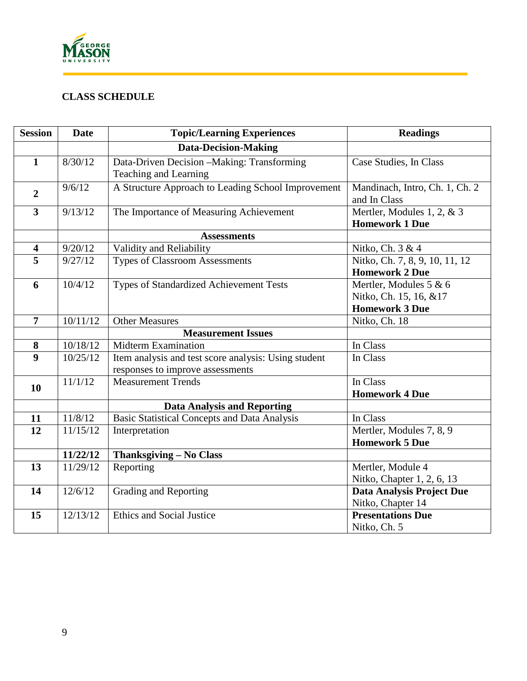

# **CLASS SCHEDULE**

| <b>Session</b>          | <b>Date</b> | <b>Topic/Learning Experiences</b>                                                        | <b>Readings</b>                                                           |  |
|-------------------------|-------------|------------------------------------------------------------------------------------------|---------------------------------------------------------------------------|--|
|                         |             | <b>Data-Decision-Making</b>                                                              |                                                                           |  |
| $\mathbf{1}$            | 8/30/12     | Data-Driven Decision -Making: Transforming<br>Teaching and Learning                      | Case Studies, In Class                                                    |  |
| $\overline{2}$          | 9/6/12      | A Structure Approach to Leading School Improvement                                       | Mandinach, Intro, Ch. 1, Ch. 2<br>and In Class                            |  |
| $\overline{3}$          | 9/13/12     | The Importance of Measuring Achievement                                                  | Mertler, Modules 1, 2, & 3<br><b>Homework 1 Due</b>                       |  |
|                         |             | <b>Assessments</b>                                                                       |                                                                           |  |
| $\overline{\mathbf{4}}$ | 9/20/12     | Validity and Reliability                                                                 | Nitko, Ch. 3 & 4                                                          |  |
| $\overline{5}$          | 9/27/12     | <b>Types of Classroom Assessments</b>                                                    | Nitko, Ch. 7, 8, 9, 10, 11, 12<br><b>Homework 2 Due</b>                   |  |
| 6                       | 10/4/12     | Types of Standardized Achievement Tests                                                  | Mertler, Modules 5 & 6<br>Nitko, Ch. 15, 16, &17<br><b>Homework 3 Due</b> |  |
| $\overline{7}$          | 10/11/12    | <b>Other Measures</b>                                                                    | Nitko, Ch. 18                                                             |  |
|                         |             | <b>Measurement Issues</b>                                                                |                                                                           |  |
| 8                       | 10/18/12    | <b>Midterm Examination</b>                                                               | In Class                                                                  |  |
| $\overline{9}$          | 10/25/12    | Item analysis and test score analysis: Using student<br>responses to improve assessments | In Class                                                                  |  |
| 10                      | 11/1/12     | <b>Measurement Trends</b>                                                                | In Class<br><b>Homework 4 Due</b>                                         |  |
|                         |             | <b>Data Analysis and Reporting</b>                                                       |                                                                           |  |
| 11                      | 11/8/12     | <b>Basic Statistical Concepts and Data Analysis</b>                                      | In Class                                                                  |  |
| 12                      | 11/15/12    | Interpretation                                                                           | Mertler, Modules 7, 8, 9<br><b>Homework 5 Due</b>                         |  |
|                         | 11/22/12    | <b>Thanksgiving - No Class</b>                                                           |                                                                           |  |
| 13                      | 11/29/12    | Reporting                                                                                | Mertler, Module 4<br>Nitko, Chapter 1, 2, 6, 13                           |  |
| 14                      | 12/6/12     | Grading and Reporting                                                                    | Data Analysis Project Due<br>Nitko, Chapter 14                            |  |
| 15                      | 12/13/12    | <b>Ethics and Social Justice</b>                                                         | <b>Presentations Due</b><br>Nitko, Ch. 5                                  |  |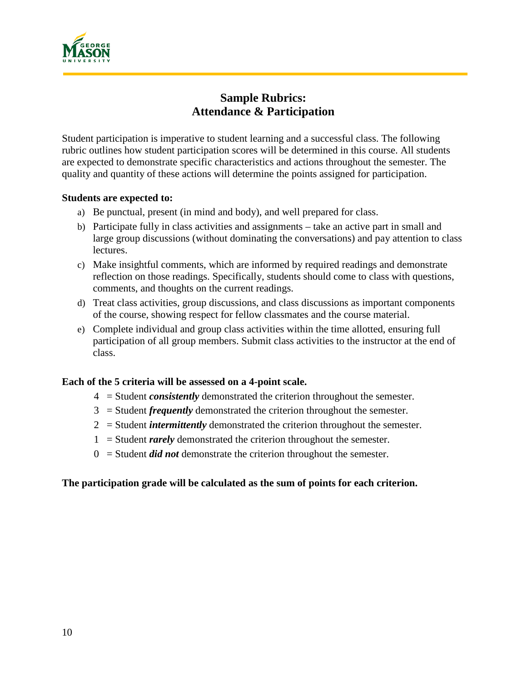

# **Sample Rubrics: Attendance & Participation**

Student participation is imperative to student learning and a successful class. The following rubric outlines how student participation scores will be determined in this course. All students are expected to demonstrate specific characteristics and actions throughout the semester. The quality and quantity of these actions will determine the points assigned for participation.

#### **Students are expected to:**

- a) Be punctual, present (in mind and body), and well prepared for class.
- b) Participate fully in class activities and assignments take an active part in small and large group discussions (without dominating the conversations) and pay attention to class lectures.
- c) Make insightful comments, which are informed by required readings and demonstrate reflection on those readings. Specifically, students should come to class with questions, comments, and thoughts on the current readings.
- d) Treat class activities, group discussions, and class discussions as important components of the course, showing respect for fellow classmates and the course material.
- e) Complete individual and group class activities within the time allotted, ensuring full participation of all group members. Submit class activities to the instructor at the end of class.

#### **Each of the 5 criteria will be assessed on a 4-point scale.**

- 4 = Student *consistently* demonstrated the criterion throughout the semester.
- 3 = Student *frequently* demonstrated the criterion throughout the semester.
- 2 = Student *intermittently* demonstrated the criterion throughout the semester.
- 1 = Student *rarely* demonstrated the criterion throughout the semester.
- 0 = Student *did not* demonstrate the criterion throughout the semester.

#### **The participation grade will be calculated as the sum of points for each criterion.**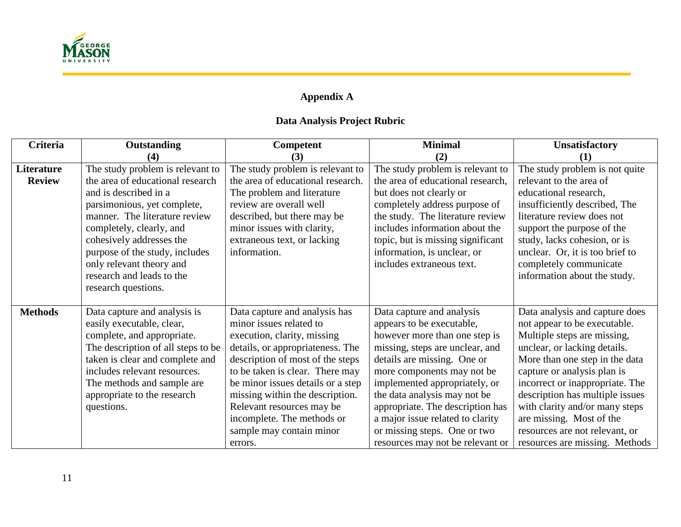

# **Appendix A**

# **Data Analysis Project Rubric**

| Criteria       | Outstanding                        | <b>Competent</b>                  | <b>Minimal</b>                    | <b>Unsatisfactory</b>           |
|----------------|------------------------------------|-----------------------------------|-----------------------------------|---------------------------------|
|                | (4)                                | (3)                               | (2)                               | (1)                             |
| Literature     | The study problem is relevant to   | The study problem is relevant to  | The study problem is relevant to  | The study problem is not quite  |
| <b>Review</b>  | the area of educational research   | the area of educational research. | the area of educational research, | relevant to the area of         |
|                | and is described in a              | The problem and literature        | but does not clearly or           | educational research,           |
|                | parsimonious, yet complete,        | review are overall well           | completely address purpose of     | insufficiently described, The   |
|                | manner. The literature review      | described, but there may be       | the study. The literature review  | literature review does not      |
|                | completely, clearly, and           | minor issues with clarity,        | includes information about the    | support the purpose of the      |
|                | cohesively addresses the           | extraneous text, or lacking       | topic, but is missing significant | study, lacks cohesion, or is    |
|                | purpose of the study, includes     | information.                      | information, is unclear, or       | unclear. Or, it is too brief to |
|                | only relevant theory and           |                                   | includes extraneous text.         | completely communicate          |
|                | research and leads to the          |                                   |                                   | information about the study.    |
|                | research questions.                |                                   |                                   |                                 |
|                |                                    |                                   |                                   |                                 |
| <b>Methods</b> | Data capture and analysis is       | Data capture and analysis has     | Data capture and analysis         | Data analysis and capture does  |
|                | easily executable, clear,          | minor issues related to           | appears to be executable,         | not appear to be executable.    |
|                | complete, and appropriate.         | execution, clarity, missing       | however more than one step is     | Multiple steps are missing,     |
|                | The description of all steps to be | details, or appropriateness. The  | missing, steps are unclear, and   | unclear, or lacking details.    |
|                | taken is clear and complete and    | description of most of the steps  | details are missing. One or       | More than one step in the data  |
|                | includes relevant resources.       | to be taken is clear. There may   | more components may not be        | capture or analysis plan is     |
|                | The methods and sample are         | be minor issues details or a step | implemented appropriately, or     | incorrect or inappropriate. The |
|                | appropriate to the research        | missing within the description.   | the data analysis may not be      | description has multiple issues |
|                | questions.                         | Relevant resources may be         | appropriate. The description has  | with clarity and/or many steps  |
|                |                                    | incomplete. The methods or        | a major issue related to clarity  | are missing. Most of the        |
|                |                                    | sample may contain minor          | or missing steps. One or two      | resources are not relevant, or  |
|                |                                    | errors.                           | resources may not be relevant or  | resources are missing. Methods  |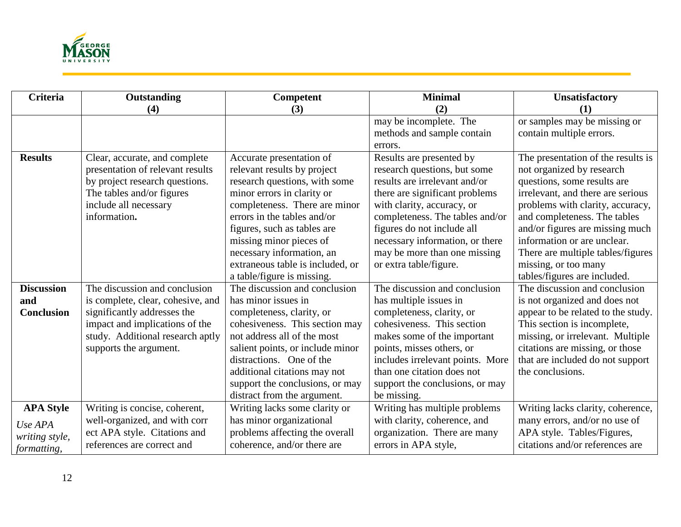

| <b>Criteria</b>   | Outstanding                       | Competent                        | <b>Minimal</b>                   | <b>Unsatisfactory</b>              |
|-------------------|-----------------------------------|----------------------------------|----------------------------------|------------------------------------|
|                   | (4)                               | (3)                              | (2)                              | (1)                                |
|                   |                                   |                                  | may be incomplete. The           | or samples may be missing or       |
|                   |                                   |                                  | methods and sample contain       | contain multiple errors.           |
|                   |                                   |                                  | errors.                          |                                    |
| <b>Results</b>    | Clear, accurate, and complete     | Accurate presentation of         | Results are presented by         | The presentation of the results is |
|                   | presentation of relevant results  | relevant results by project      | research questions, but some     | not organized by research          |
|                   | by project research questions.    | research questions, with some    | results are irrelevant and/or    | questions, some results are        |
|                   | The tables and/or figures         | minor errors in clarity or       | there are significant problems   | irrelevant, and there are serious  |
|                   | include all necessary             | completeness. There are minor    | with clarity, accuracy, or       | problems with clarity, accuracy,   |
|                   | information.                      | errors in the tables and/or      | completeness. The tables and/or  | and completeness. The tables       |
|                   |                                   | figures, such as tables are      | figures do not include all       | and/or figures are missing much    |
|                   |                                   | missing minor pieces of          | necessary information, or there  | information or are unclear.        |
|                   |                                   | necessary information, an        | may be more than one missing     | There are multiple tables/figures  |
|                   |                                   | extraneous table is included, or | or extra table/figure.           | missing, or too many               |
|                   |                                   | a table/figure is missing.       |                                  | tables/figures are included.       |
| <b>Discussion</b> | The discussion and conclusion     | The discussion and conclusion    | The discussion and conclusion    | The discussion and conclusion      |
| and               | is complete, clear, cohesive, and | has minor issues in              | has multiple issues in           | is not organized and does not      |
| <b>Conclusion</b> | significantly addresses the       | completeness, clarity, or        | completeness, clarity, or        | appear to be related to the study. |
|                   | impact and implications of the    | cohesiveness. This section may   | cohesiveness. This section       | This section is incomplete,        |
|                   | study. Additional research aptly  | not address all of the most      | makes some of the important      | missing, or irrelevant. Multiple   |
|                   | supports the argument.            | salient points, or include minor | points, misses others, or        | citations are missing, or those    |
|                   |                                   | distractions. One of the         | includes irrelevant points. More | that are included do not support   |
|                   |                                   | additional citations may not     | than one citation does not       | the conclusions.                   |
|                   |                                   | support the conclusions, or may  | support the conclusions, or may  |                                    |
|                   |                                   | distract from the argument.      | be missing.                      |                                    |
| <b>APA Style</b>  | Writing is concise, coherent,     | Writing lacks some clarity or    | Writing has multiple problems    | Writing lacks clarity, coherence,  |
| Use APA           | well-organized, and with corr     | has minor organizational         | with clarity, coherence, and     | many errors, and/or no use of      |
| writing style,    | ect APA style. Citations and      | problems affecting the overall   | organization. There are many     | APA style. Tables/Figures,         |
| formatting,       | references are correct and        | coherence, and/or there are      | errors in APA style,             | citations and/or references are    |